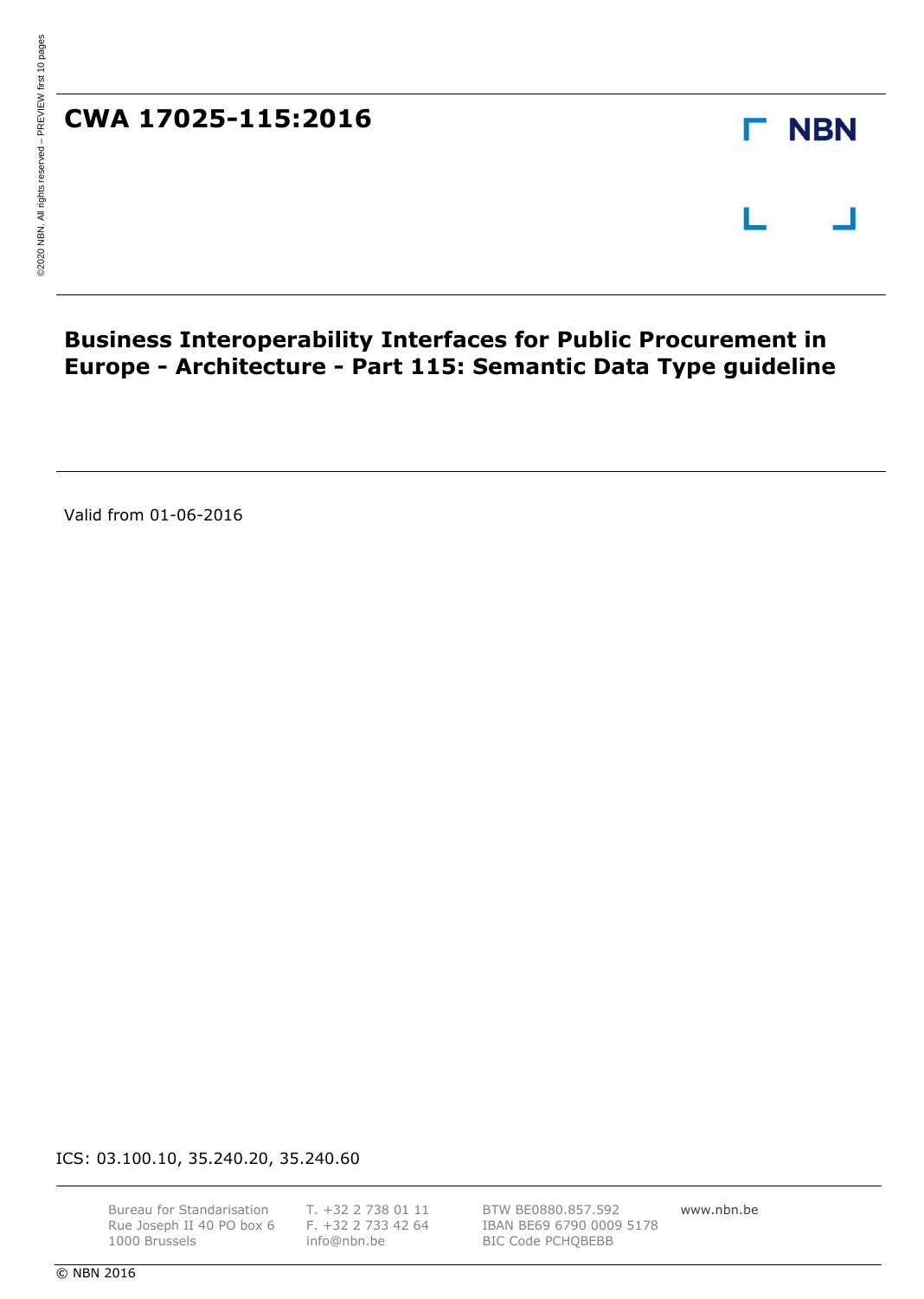# @2020 NBN. All rights reserved - PREVIEW first 10 pages ©2020 NBN. All rights reserved – PREVIEW first 10 pages

# **CWA 17025-115:2016**

#### **NBN** Г

#### **Business Interoperability Interfaces for Public Procurement in Europe - Architecture - Part 115: Semantic Data Type guideline**

Valid from 01-06-2016

ICS: 03.100.10, 35.240.20, 35.240.60

Bureau for Standarisation Rue Joseph II 40 PO box 6 1000 Brussels

T. +32 2 738 01 11 F. +32 2 733 42 64 [info@nbn.be](mailto:info@nbn.be)

BTW BE0880.857.592 IBAN BE69 6790 0009 5178 BIC Code PCHQBEBB

www.nbn.be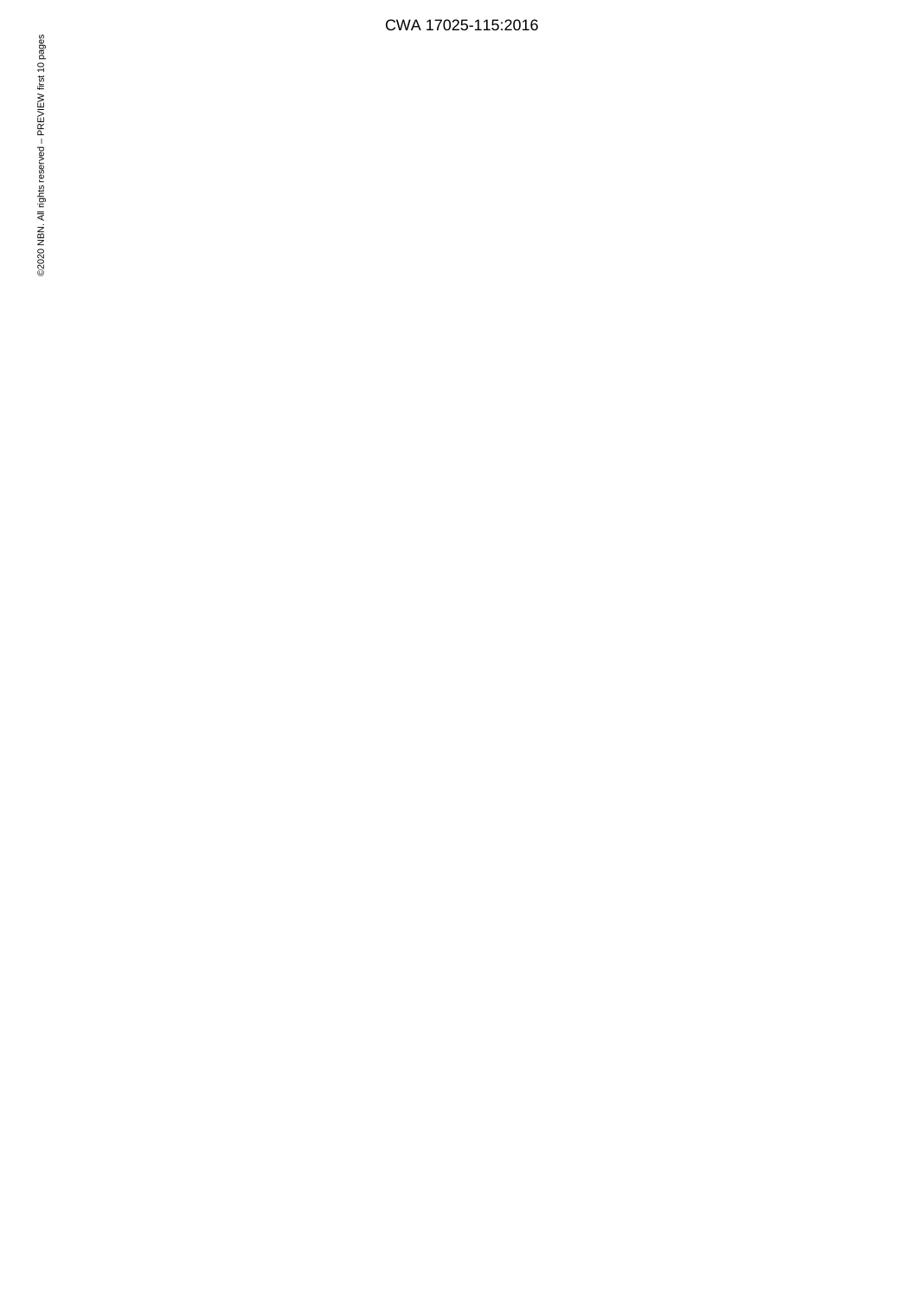CWA 17025-115:2016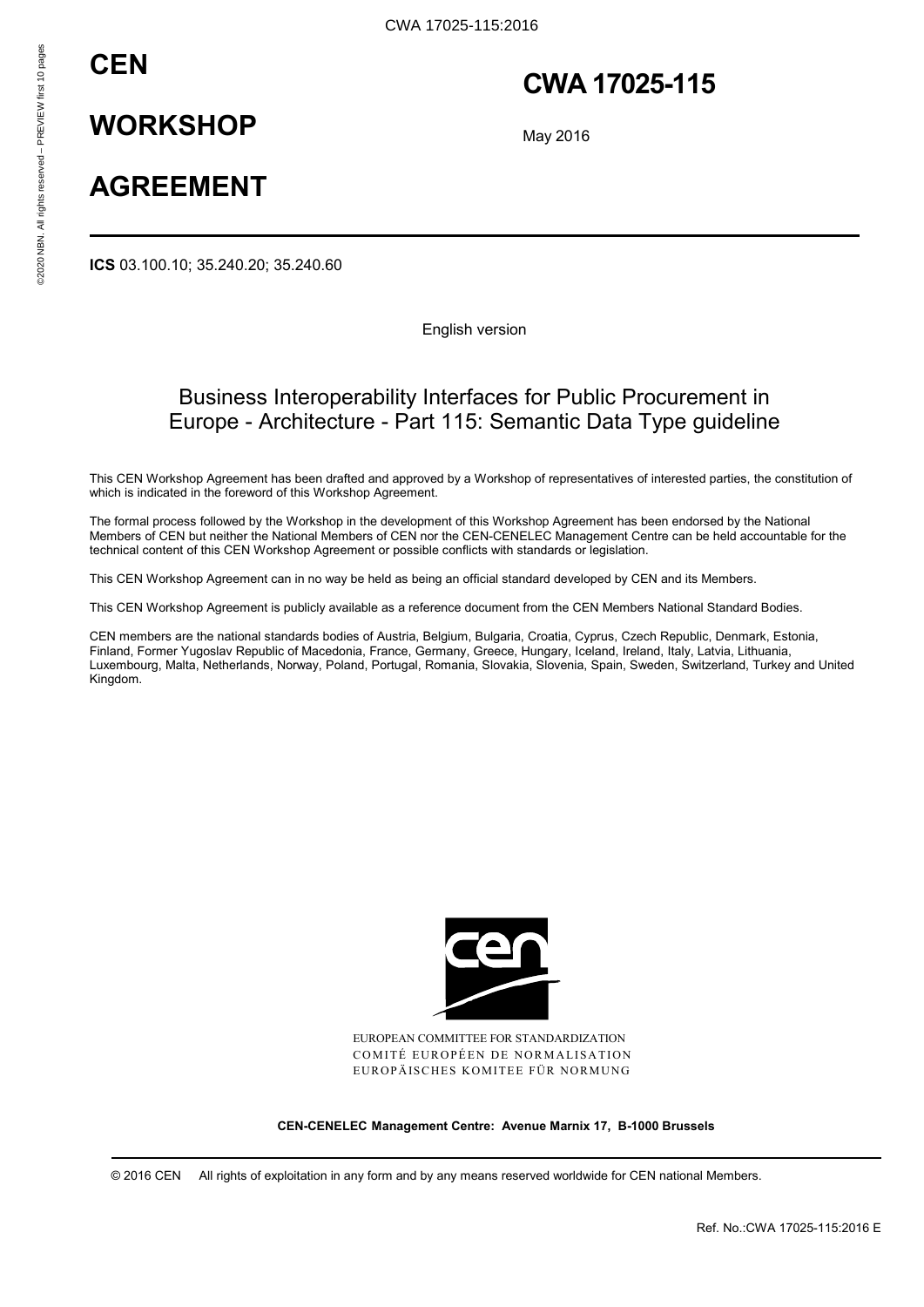# **CEN**

# **CWA 17025-115**

**WORKSHOP** 

May 2016

# **AGREEMENT**

**ICS** 03.100.10; 35.240.20; 35.240.60

English version

#### Business Interoperability Interfaces for Public Procurement in Europe - Architecture - Part 115: Semantic Data Type guideline

This CEN Workshop Agreement has been drafted and approved by a Workshop of representatives of interested parties, the constitution of which is indicated in the foreword of this Workshop Agreement.

The formal process followed by the Workshop in the development of this Workshop Agreement has been endorsed by the National Members of CEN but neither the National Members of CEN nor the CEN-CENELEC Management Centre can be held accountable for the technical content of this CEN Workshop Agreement or possible conflicts with standards or legislation.

This CEN Workshop Agreement can in no way be held as being an official standard developed by CEN and its Members.

This CEN Workshop Agreement is publicly available as a reference document from the CEN Members National Standard Bodies.

CEN members are the national standards bodies of Austria, Belgium, Bulgaria, Croatia, Cyprus, Czech Republic, Denmark, Estonia, Finland, Former Yugoslav Republic of Macedonia, France, Germany, Greece, Hungary, Iceland, Ireland, Italy, Latvia, Lithuania, Luxembourg, Malta, Netherlands, Norway, Poland, Portugal, Romania, Slovakia, Slovenia, Spain, Sweden, Switzerland, Turkey and United Kingdom.



EUROPEAN COMMITTEE FOR STANDARDIZATION COMITÉ EUROPÉEN DE NORMALISATION EUROPÄISCHES KOMITEE FÜR NORMUNG

**CEN-CENELEC Management Centre: Avenue Marnix 17, B-1000 Brussels** 

© 2016 CEN All rights of exploitation in any form and by any means reserved worldwide for CEN national Members.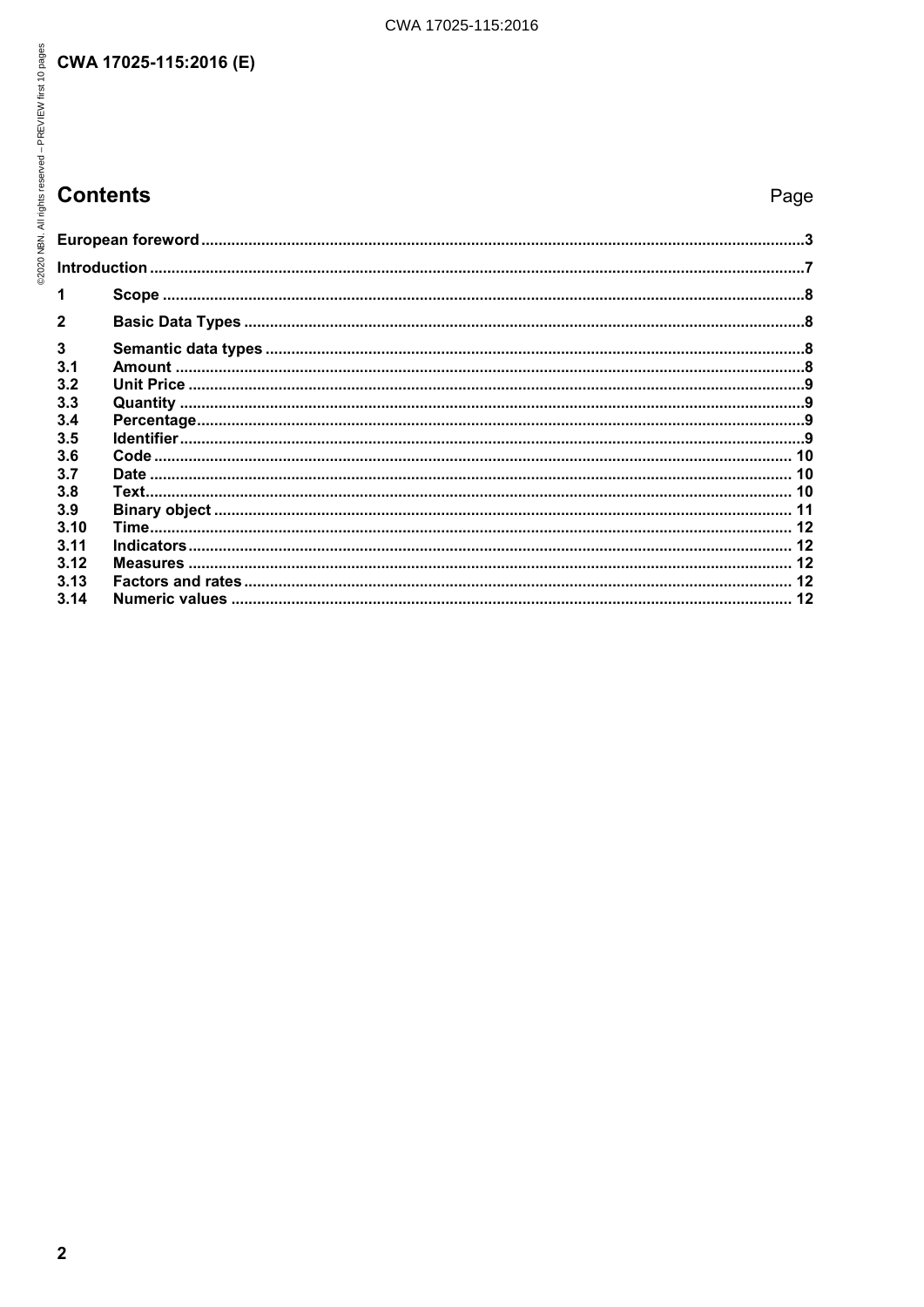### CWA 17025-115:2016 (E)

# **Contents**

### Page

| 1            |  |
|--------------|--|
| $\mathbf{2}$ |  |
| $\mathbf{3}$ |  |
| 3.1          |  |
| 3.2          |  |
| 3.3          |  |
| 3.4          |  |
| 3.5          |  |
| 3.6          |  |
| 3.7          |  |
| 3.8          |  |
| 3.9          |  |
| 3.10         |  |
| 3.11         |  |
| 3.12         |  |
| 3.13         |  |
| 3.14         |  |

CWA 17025-115:2016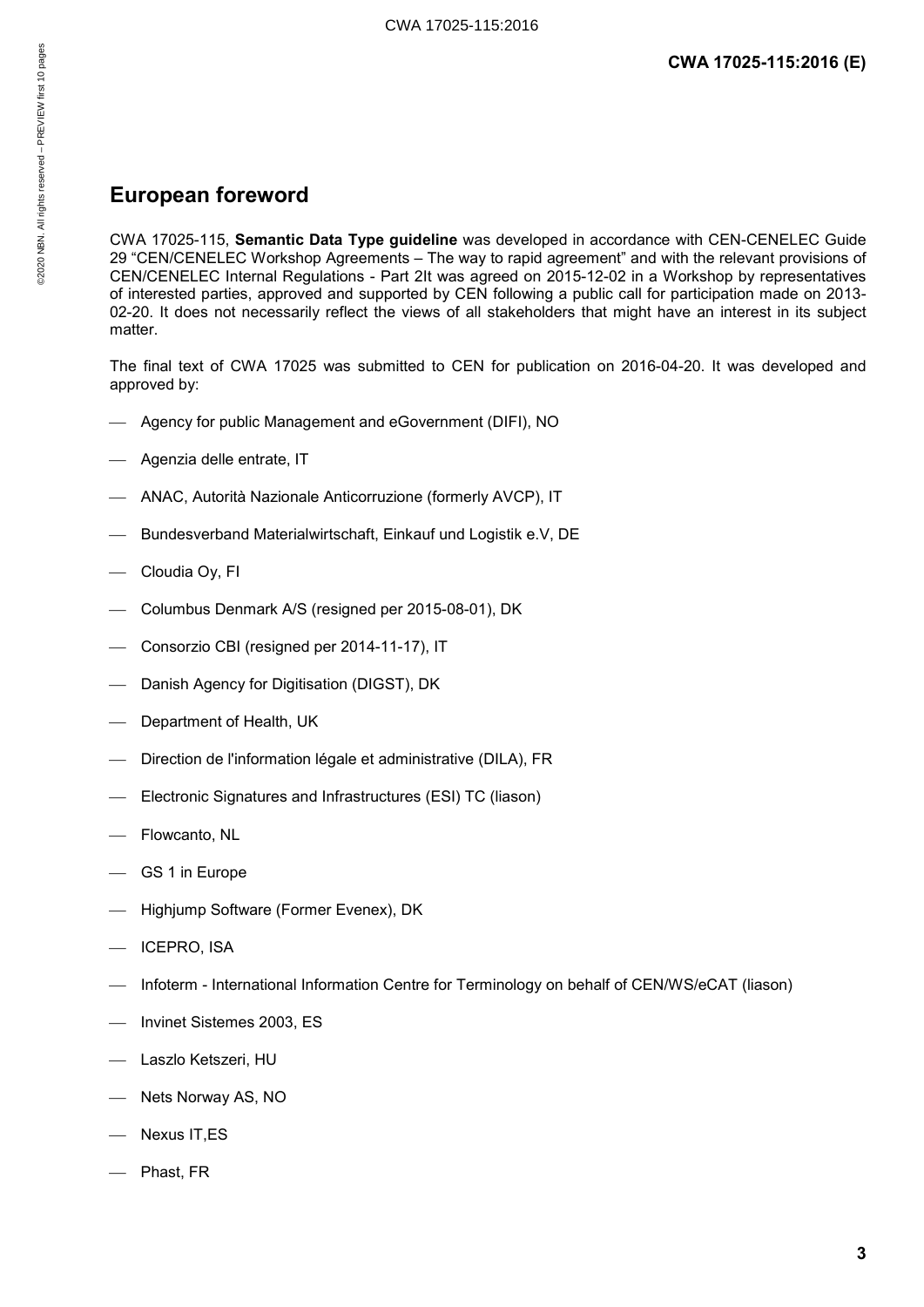## **European foreword**

CWA 17025-115, **Semantic Data Type guideline** was developed in accordance with CEN-CENELEC Guide 29 "CEN/CENELEC Workshop Agreements – The way to rapid agreement" and with the relevant provisions of CEN/CENELEC Internal Regulations - Part 2It was agreed on 2015-12-02 in a Workshop by representatives of interested parties, approved and supported by CEN following a public call for participation made on 2013- 02-20. It does not necessarily reflect the views of all stakeholders that might have an interest in its subject matter.

The final text of CWA 17025 was submitted to CEN for publication on 2016-04-20. It was developed and approved by:

- Agency for public Management and eGovernment (DIFI), NO
- Agenzia delle entrate, IT
- ANAC, Autorità Nazionale Anticorruzione (formerly AVCP), IT
- Bundesverband Materialwirtschaft, Einkauf und Logistik e.V, DE
- Cloudia Oy, FI
- Columbus Denmark A/S (resigned per 2015-08-01), DK
- Consorzio CBI (resigned per 2014-11-17), IT
- Danish Agency for Digitisation (DIGST), DK
- Department of Health, UK
- Direction de l'information légale et administrative (DILA), FR
- Electronic Signatures and Infrastructures (ESI) TC (liason)
- Flowcanto, NL
- GS 1 in Europe
- Highiump Software (Former Evenex), DK
- $-$  ICEPRO, ISA
- Infoterm International Information Centre for Terminology on behalf of CEN/WS/eCAT (liason)
- Invinet Sistemes 2003, ES
- Laszlo Ketszeri, HU
- Nets Norway AS, NO
- Nexus IT, ES
- Phast, FR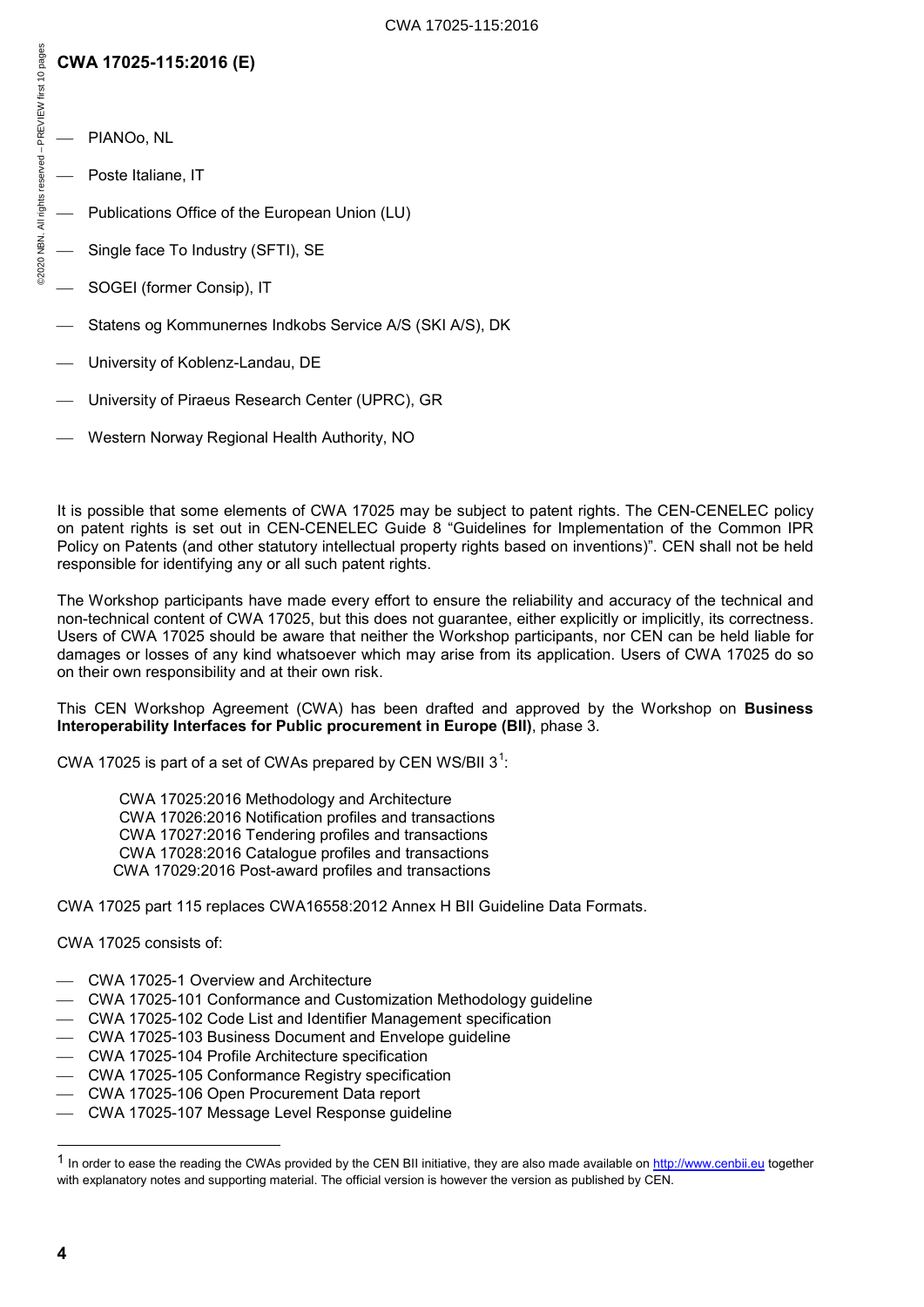#### **CWA 17025-115:2016 (E)**

- ©2020 NBN. All rights reserved PREVIEW first 10 pages©2020 NBN. All rights reserved - PREVIEW first 10 pages
	- PIANOo, NL Poste Italiane, IT
	- Publications Office of the European Union (LU)
	- Single face To Industry (SFTI), SE
	- SOGEI (former Consip), IT
	- Statens og Kommunernes Indkobs Service A/S (SKI A/S), DK
	- University of Koblenz-Landau, DE
	- University of Piraeus Research Center (UPRC), GR
	- Western Norway Regional Health Authority, NO

It is possible that some elements of CWA 17025 may be subject to patent rights. The CEN-CENELEC policy on patent rights is set out in CEN-CENELEC Guide 8 "Guidelines for Implementation of the Common IPR Policy on Patents (and other statutory intellectual property rights based on inventions)". CEN shall not be held responsible for identifying any or all such patent rights.

The Workshop participants have made every effort to ensure the reliability and accuracy of the technical and non-technical content of CWA 17025, but this does not guarantee, either explicitly or implicitly, its correctness. Users of CWA 17025 should be aware that neither the Workshop participants, nor CEN can be held liable for damages or losses of any kind whatsoever which may arise from its application. Users of CWA 17025 do so on their own responsibility and at their own risk.

This CEN Workshop Agreement (CWA) has been drafted and approved by the Workshop on **Business Interoperability Interfaces for Public procurement in Europe (BII)**, phase 3.

CWA [1](#page--1-17)7025 is part of a set of CWAs prepared by CEN WS/BII 3 $^1$ :

CWA 17025:2016 Methodology and Architecture CWA 17026:2016 Notification profiles and transactions CWA 17027:2016 Tendering profiles and transactions CWA 17028:2016 Catalogue profiles and transactions CWA 17029:2016 Post-award profiles and transactions

CWA 17025 part 115 replaces CWA16558:2012 Annex H BII Guideline Data Formats.

#### CWA 17025 consists of:

- CWA 17025-1 Overview and Architecture
- CWA 17025-101 Conformance and Customization Methodology guideline
- CWA 17025-102 Code List and Identifier Management specification
- CWA 17025-103 Business Document and Envelope guideline
- CWA 17025-104 Profile Architecture specification
- CWA 17025-105 Conformance Registry specification
- CWA 17025-106 Open Procurement Data report
- CWA 17025-107 Message Level Response guideline

 $1$  In order to ease the reading the CWAs provided by the CEN BII initiative, they are also made available on [http://www.cenbii.eu](http://www.cenbii.eu/) together with explanatory notes and supporting material. The official version is however the version as published by CEN.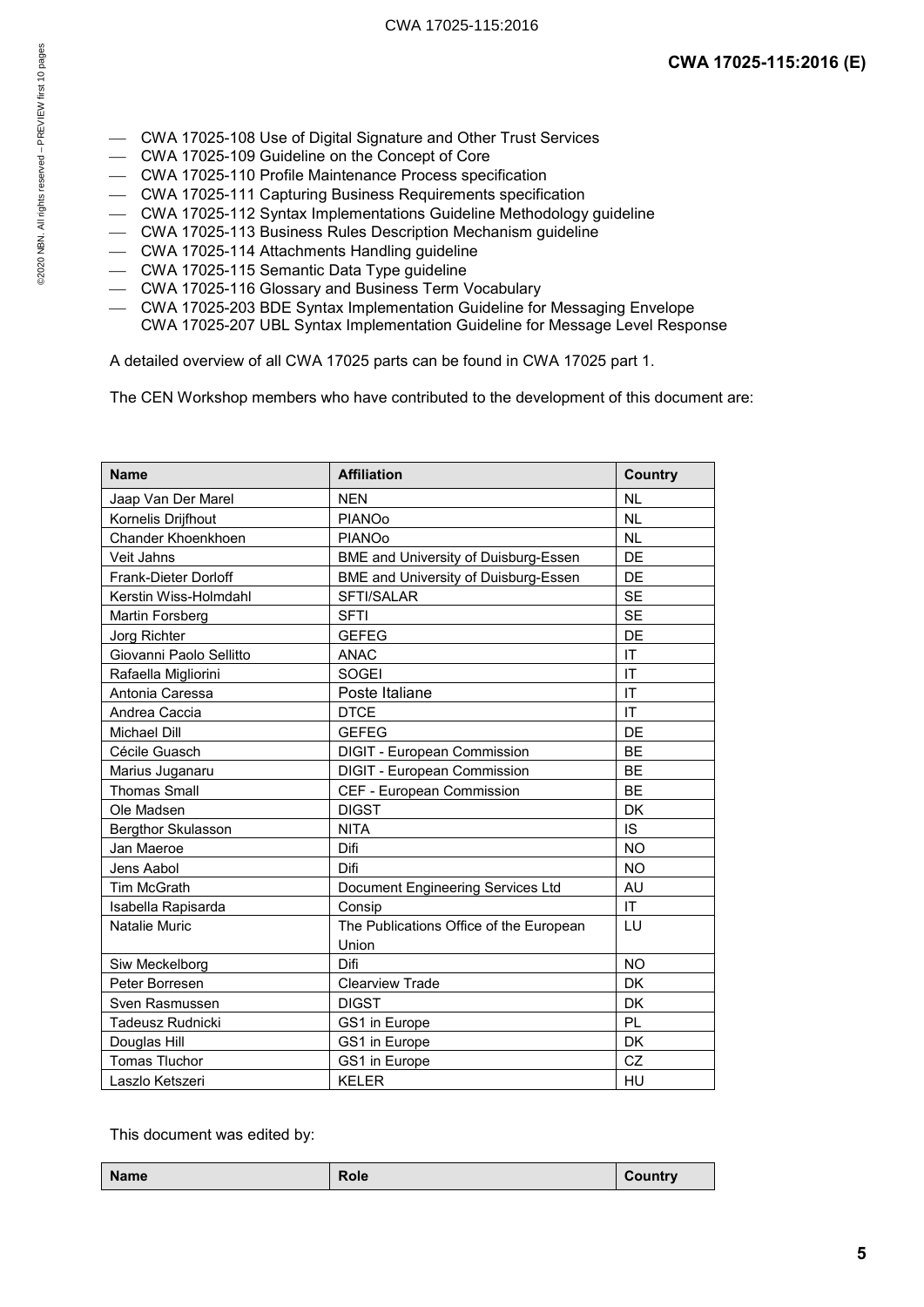- CWA 17025-108 Use of Digital Signature and Other Trust Services
- CWA 17025-109 Guideline on the Concept of Core
- CWA 17025-110 Profile Maintenance Process specification
- CWA 17025-111 Capturing Business Requirements specification
- CWA 17025-112 Syntax Implementations Guideline Methodology guideline
- CWA 17025-113 Business Rules Description Mechanism guideline
- CWA 17025-114 Attachments Handling guideline
- CWA 17025-115 Semantic Data Type guideline
- CWA 17025-116 Glossary and Business Term Vocabulary
- CWA 17025-203 BDE Syntax Implementation Guideline for Messaging Envelope CWA 17025-207 UBL Syntax Implementation Guideline for Message Level Response

A detailed overview of all CWA 17025 parts can be found in CWA 17025 part 1.

The CEN Workshop members who have contributed to the development of this document are:

| <b>Name</b>             | <b>Affiliation</b>                      | <b>Country</b> |
|-------------------------|-----------------------------------------|----------------|
| Jaap Van Der Marel      | <b>NEN</b>                              | <b>NL</b>      |
| Kornelis Drijfhout      | <b>PIANOo</b>                           | <b>NL</b>      |
| Chander Khoenkhoen      | <b>PIANOo</b>                           | <b>NL</b>      |
| Veit Jahns              | BME and University of Duisburg-Essen    | DE             |
| Frank-Dieter Dorloff    | BME and University of Duisburg-Essen    | DE             |
| Kerstin Wiss-Holmdahl   | <b>SFTI/SALAR</b>                       | <b>SE</b>      |
| Martin Forsberg         | <b>SFTI</b>                             | <b>SE</b>      |
| Jorg Richter            | <b>GEFEG</b>                            | DE             |
| Giovanni Paolo Sellitto | <b>ANAC</b>                             | IT             |
| Rafaella Migliorini     | <b>SOGEI</b>                            | IT             |
| Antonia Caressa         | Poste Italiane                          | IT             |
| Andrea Caccia           | <b>DTCE</b>                             | IT             |
| Michael Dill            | <b>GEFEG</b>                            | DE             |
| Cécile Guasch           | DIGIT - European Commission             | <b>BE</b>      |
| Marius Juganaru         | DIGIT - European Commission             | <b>BE</b>      |
| <b>Thomas Small</b>     | CEF - European Commission               | <b>BF</b>      |
| Ole Madsen              | <b>DIGST</b>                            | DK             |
| Bergthor Skulasson      | <b>NITA</b>                             | IS             |
| Jan Maeroe              | Difi                                    | <b>NO</b>      |
| Jens Aabol              | Difi                                    | <b>NO</b>      |
| Tim McGrath             | Document Engineering Services Ltd       | AU             |
| Isabella Rapisarda      | Consip                                  | IT             |
| Natalie Muric           | The Publications Office of the European | LU             |
|                         | Union                                   |                |
| Siw Meckelborg          | Difi                                    | <b>NO</b>      |
| Peter Borresen          | Clearview Trade                         | <b>DK</b>      |
| Sven Rasmussen          | <b>DIGST</b>                            | DK             |
| Tadeusz Rudnicki        | GS1 in Europe                           | PL             |
| Douglas Hill            | GS1 in Europe                           | DK             |
| <b>Tomas Tluchor</b>    | GS1 in Europe                           | CZ             |
| Laszlo Ketszeri         | <b>KELER</b>                            | HU             |

This document was edited by:

| <b>Name</b> | Role | Country |  |
|-------------|------|---------|--|
|             |      |         |  |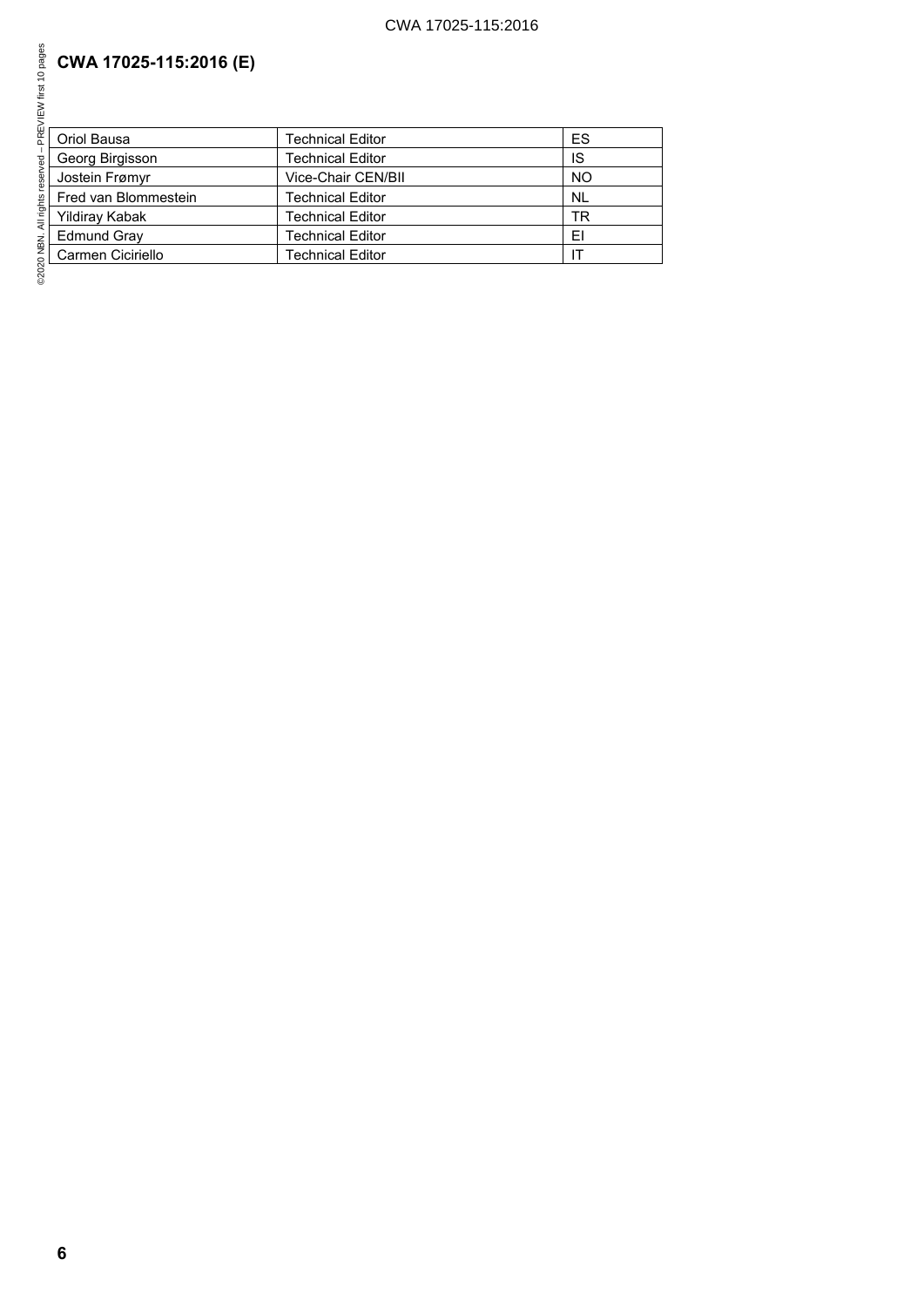#### CWA 17025-115:2016

#### **CWA 17025-115:2016 (E)**

| Oriol Bausa          | <b>Technical Editor</b>   | ES        |
|----------------------|---------------------------|-----------|
| Georg Birgisson      | <b>Technical Editor</b>   | IS        |
| Jostein Frømyr       | <b>Vice-Chair CEN/BII</b> | NO        |
| Fred van Blommestein | <b>Technical Editor</b>   | <b>NL</b> |
| Yildiray Kabak       | <b>Technical Editor</b>   | TR        |
| Edmund Gray          | <b>Technical Editor</b>   | EI        |
| Carmen Ciciriello    | <b>Technical Editor</b>   |           |
|                      |                           |           |

**6**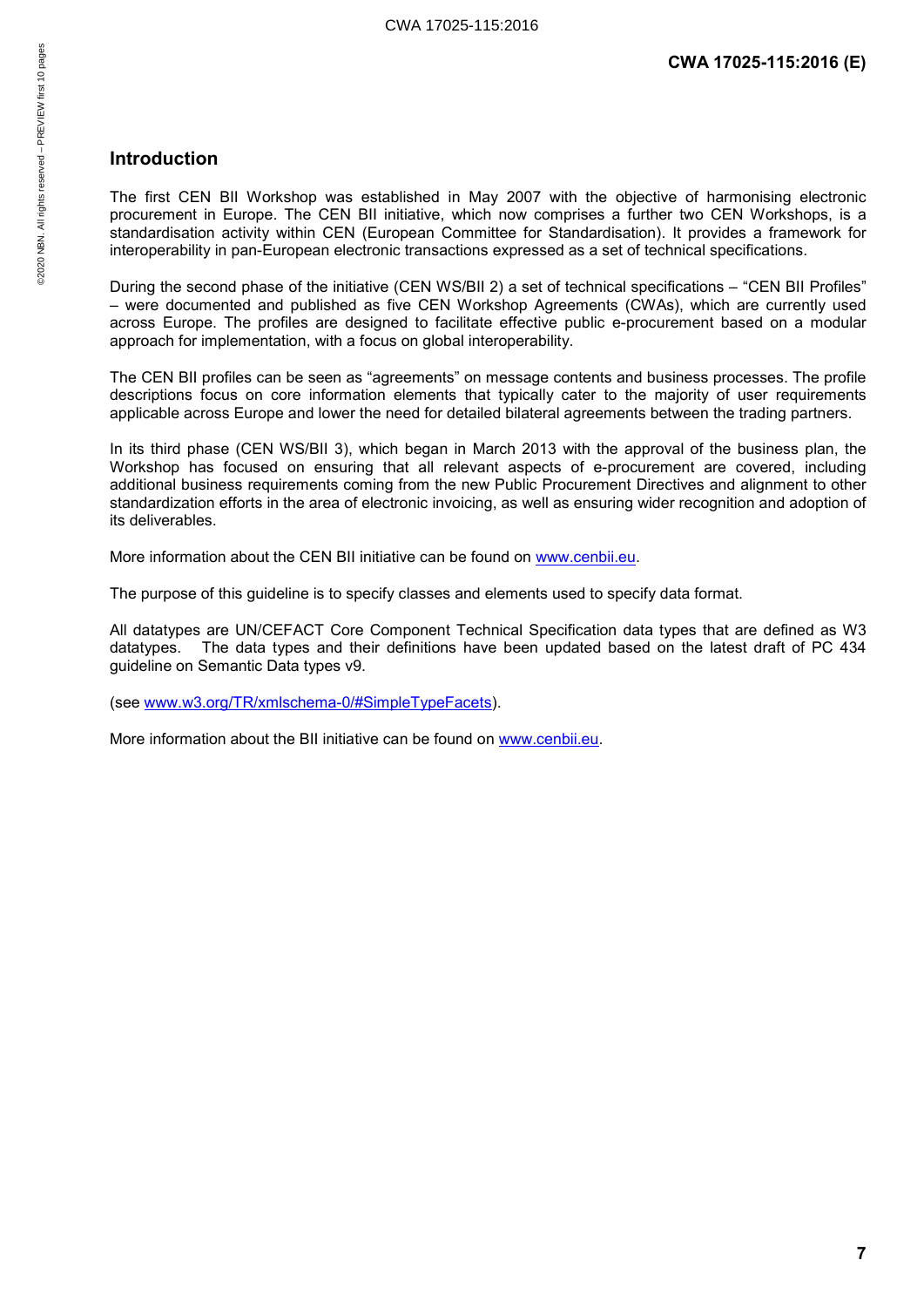#### **Introduction**

The first CEN BII Workshop was established in May 2007 with the objective of harmonising electronic procurement in Europe. The CEN BII initiative, which now comprises a further two CEN Workshops, is a standardisation activity within CEN (European Committee for Standardisation). It provides a framework for interoperability in pan-European electronic transactions expressed as a set of technical specifications.

During the second phase of the initiative (CEN WS/BII 2) a set of technical specifications – "CEN BII Profiles" – were documented and published as five CEN Workshop Agreements (CWAs), which are currently used across Europe. The profiles are designed to facilitate effective public e-procurement based on a modular approach for implementation, with a focus on global interoperability.

The CEN BII profiles can be seen as "agreements" on message contents and business processes. The profile descriptions focus on core information elements that typically cater to the majority of user requirements applicable across Europe and lower the need for detailed bilateral agreements between the trading partners.

In its third phase (CEN WS/BII 3), which began in March 2013 with the approval of the business plan, the Workshop has focused on ensuring that all relevant aspects of e-procurement are covered, including additional business requirements coming from the new Public Procurement Directives and alignment to other standardization efforts in the area of electronic invoicing, as well as ensuring wider recognition and adoption of its deliverables.

More information about the CEN BII initiative can be found on [www.cenbii.eu.](http://www.cenbii.eu/)

The purpose of this guideline is to specify classes and elements used to specify data format.

All datatypes are UN/CEFACT Core Component Technical Specification data types that are defined as W3 datatypes. The data types and their definitions have been updated based on the latest draft of PC 434 guideline on Semantic Data types v9.

(see [www.w3.org/TR/xmlschema-0/#SimpleTypeFacets\)](http://www.w3.org/TR/xmlschema-0/#SimpleTypeFacets).

More information about the BII initiative can be found on [www.cenbii.eu.](http://www.cenbii.eu/)